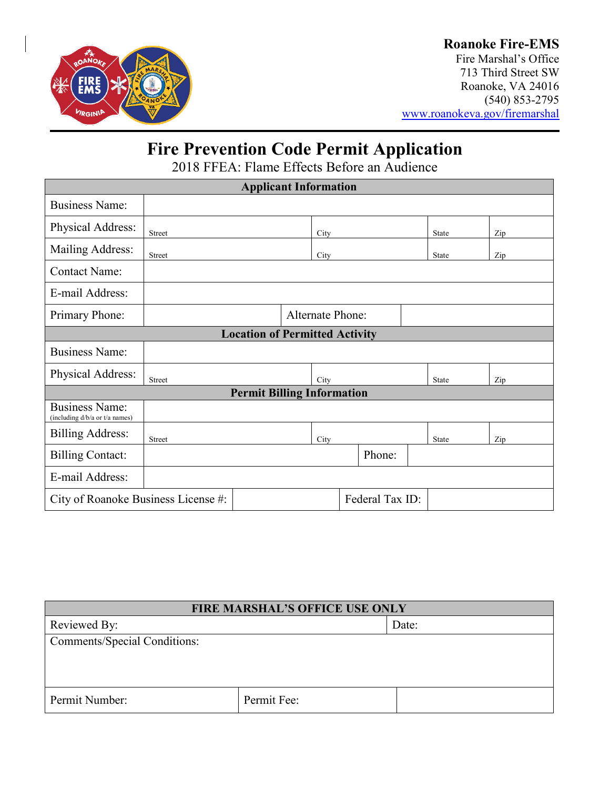

### **Roanoke Fire-EMS**

Fire Marshal's Office 713 Third Street SW Roanoke, VA 24016 (540) 853-2795 [www.roanokeva.gov/firemarshal](http://www.roanokeva.gov/firemarshal)

# **Fire Prevention Code Permit Application**

2018 FFEA: Flame Effects Before an Audience

| <b>Applicant Information</b>                            |                         |  |      |        |  |  |              |  |     |
|---------------------------------------------------------|-------------------------|--|------|--------|--|--|--------------|--|-----|
| <b>Business Name:</b>                                   |                         |  |      |        |  |  |              |  |     |
| Physical Address:                                       | Street                  |  | City |        |  |  | <b>State</b> |  | Zip |
| Mailing Address:                                        | Street                  |  | City |        |  |  | State        |  | Zip |
| <b>Contact Name:</b>                                    |                         |  |      |        |  |  |              |  |     |
| E-mail Address:                                         |                         |  |      |        |  |  |              |  |     |
| Primary Phone:                                          | <b>Alternate Phone:</b> |  |      |        |  |  |              |  |     |
| <b>Location of Permitted Activity</b>                   |                         |  |      |        |  |  |              |  |     |
| <b>Business Name:</b>                                   |                         |  |      |        |  |  |              |  |     |
| Physical Address:                                       | Street                  |  | City |        |  |  | <b>State</b> |  | Zip |
| <b>Permit Billing Information</b>                       |                         |  |      |        |  |  |              |  |     |
| <b>Business Name:</b><br>(including d/b/a or t/a names) |                         |  |      |        |  |  |              |  |     |
| <b>Billing Address:</b>                                 | Street                  |  | City |        |  |  | State        |  | Zip |
| <b>Billing Contact:</b>                                 |                         |  |      | Phone: |  |  |              |  |     |
| E-mail Address:                                         |                         |  |      |        |  |  |              |  |     |
| Federal Tax ID:<br>City of Roanoke Business License #:  |                         |  |      |        |  |  |              |  |     |

| <b>FIRE MARSHAL'S OFFICE USE ONLY</b> |             |  |  |  |
|---------------------------------------|-------------|--|--|--|
| Reviewed By:                          | Date:       |  |  |  |
| <b>Comments/Special Conditions:</b>   |             |  |  |  |
|                                       |             |  |  |  |
|                                       |             |  |  |  |
| Permit Number:                        | Permit Fee: |  |  |  |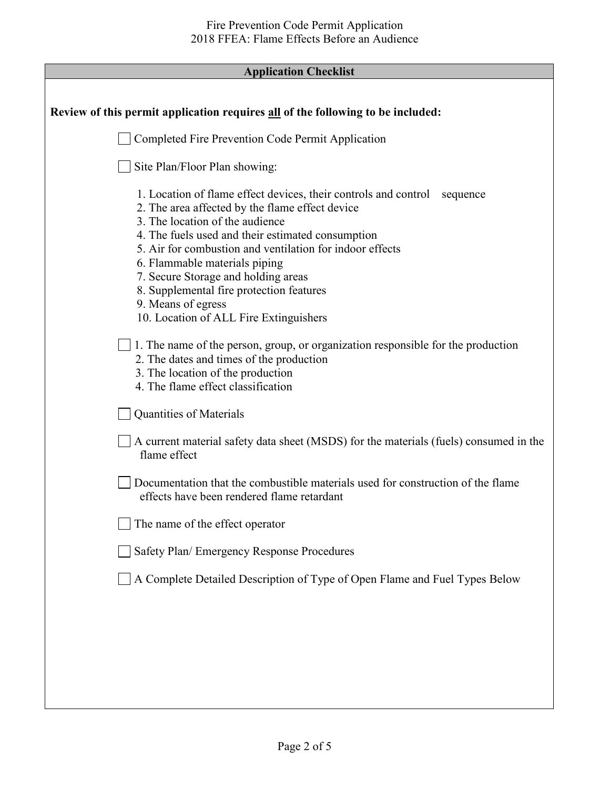| <b>Application Checklist</b> |  |
|------------------------------|--|
|------------------------------|--|

| Review of this permit application requires all of the following to be included:                                                                                                                                                                                                                                                                                                                                                                                        |
|------------------------------------------------------------------------------------------------------------------------------------------------------------------------------------------------------------------------------------------------------------------------------------------------------------------------------------------------------------------------------------------------------------------------------------------------------------------------|
| Completed Fire Prevention Code Permit Application                                                                                                                                                                                                                                                                                                                                                                                                                      |
| Site Plan/Floor Plan showing:                                                                                                                                                                                                                                                                                                                                                                                                                                          |
| 1. Location of flame effect devices, their controls and control<br>sequence<br>2. The area affected by the flame effect device<br>3. The location of the audience<br>4. The fuels used and their estimated consumption<br>5. Air for combustion and ventilation for indoor effects<br>6. Flammable materials piping<br>7. Secure Storage and holding areas<br>8. Supplemental fire protection features<br>9. Means of egress<br>10. Location of ALL Fire Extinguishers |
| $\perp$ 1. The name of the person, group, or organization responsible for the production<br>2. The dates and times of the production<br>3. The location of the production<br>4. The flame effect classification                                                                                                                                                                                                                                                        |
| <b>Quantities of Materials</b>                                                                                                                                                                                                                                                                                                                                                                                                                                         |
| A current material safety data sheet (MSDS) for the materials (fuels) consumed in the<br>flame effect                                                                                                                                                                                                                                                                                                                                                                  |
| Documentation that the combustible materials used for construction of the flame<br>effects have been rendered flame retardant                                                                                                                                                                                                                                                                                                                                          |
| The name of the effect operator                                                                                                                                                                                                                                                                                                                                                                                                                                        |
| Safety Plan/ Emergency Response Procedures                                                                                                                                                                                                                                                                                                                                                                                                                             |
| A Complete Detailed Description of Type of Open Flame and Fuel Types Below                                                                                                                                                                                                                                                                                                                                                                                             |
|                                                                                                                                                                                                                                                                                                                                                                                                                                                                        |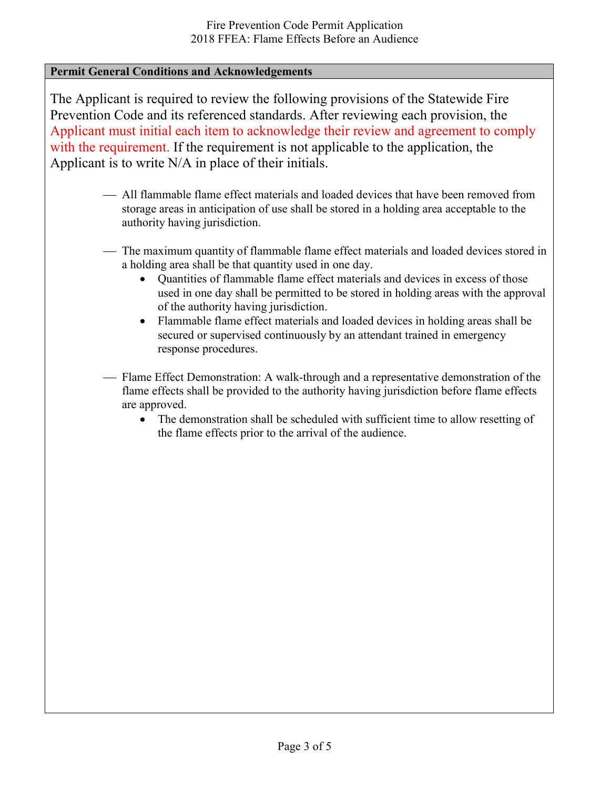#### **Permit General Conditions and Acknowledgements**

The Applicant is required to review the following provisions of the Statewide Fire Prevention Code and its referenced standards. After reviewing each provision, the Applicant must initial each item to acknowledge their review and agreement to comply with the requirement. If the requirement is not applicable to the application, the Applicant is to write N/A in place of their initials.

- All flammable flame effect materials and loaded devices that have been removed from storage areas in anticipation of use shall be stored in a holding area acceptable to the authority having jurisdiction.
- The maximum quantity of flammable flame effect materials and loaded devices stored in a holding area shall be that quantity used in one day.
	- Quantities of flammable flame effect materials and devices in excess of those used in one day shall be permitted to be stored in holding areas with the approval of the authority having jurisdiction.
	- Flammable flame effect materials and loaded devices in holding areas shall be secured or supervised continuously by an attendant trained in emergency response procedures.
- Flame Effect Demonstration: A walk-through and a representative demonstration of the flame effects shall be provided to the authority having jurisdiction before flame effects are approved.
	- The demonstration shall be scheduled with sufficient time to allow resetting of the flame effects prior to the arrival of the audience.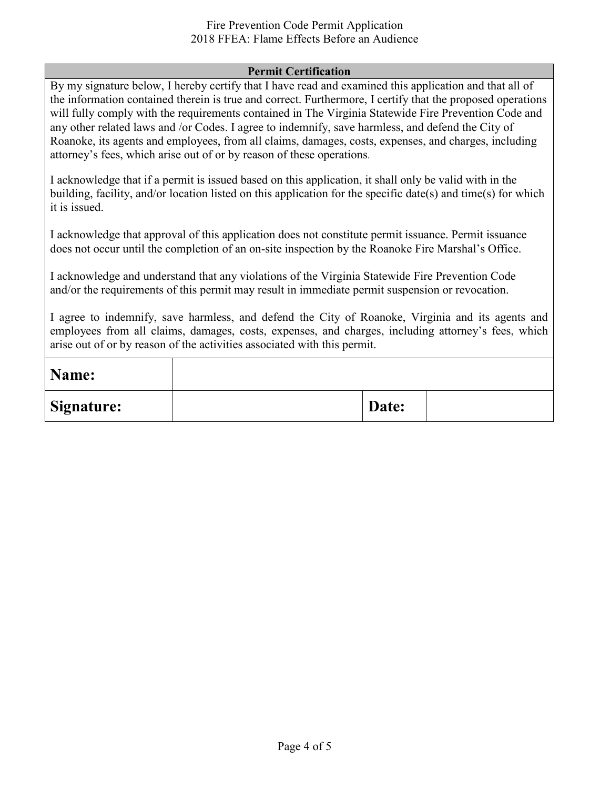#### Fire Prevention Code Permit Application 2018 FFEA: Flame Effects Before an Audience

#### **Permit Certification**

By my signature below, I hereby certify that I have read and examined this application and that all of the information contained therein is true and correct. Furthermore, I certify that the proposed operations will fully comply with the requirements contained in The Virginia Statewide Fire Prevention Code and any other related laws and /or Codes. I agree to indemnify, save harmless, and defend the City of Roanoke, its agents and employees, from all claims, damages, costs, expenses, and charges, including attorney's fees, which arise out of or by reason of these operations.

I acknowledge that if a permit is issued based on this application, it shall only be valid with in the building, facility, and/or location listed on this application for the specific date(s) and time(s) for which it is issued.

I acknowledge that approval of this application does not constitute permit issuance. Permit issuance does not occur until the completion of an on-site inspection by the Roanoke Fire Marshal's Office.

I acknowledge and understand that any violations of the Virginia Statewide Fire Prevention Code and/or the requirements of this permit may result in immediate permit suspension or revocation.

I agree to indemnify, save harmless, and defend the City of Roanoke, Virginia and its agents and employees from all claims, damages, costs, expenses, and charges, including attorney's fees, which arise out of or by reason of the activities associated with this permit.

| Name:             |       |  |
|-------------------|-------|--|
| <b>Signature:</b> | Date: |  |